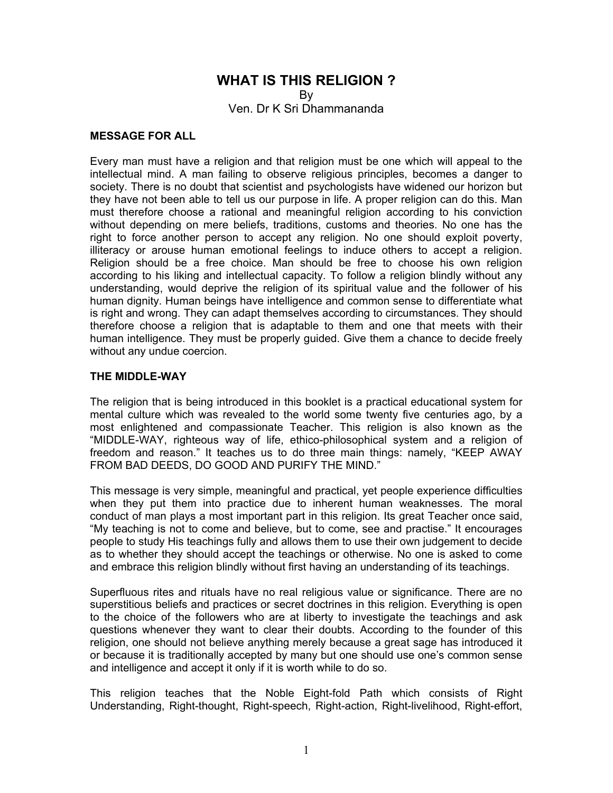# **WHAT IS THIS RELIGION ?**

By

Ven. Dr K Sri Dhammananda

#### **MESSAGE FOR ALL**

Every man must have a religion and that religion must be one which will appeal to the intellectual mind. A man failing to observe religious principles, becomes a danger to society. There is no doubt that scientist and psychologists have widened our horizon but they have not been able to tell us our purpose in life. A proper religion can do this. Man must therefore choose a rational and meaningful religion according to his conviction without depending on mere beliefs, traditions, customs and theories. No one has the right to force another person to accept any religion. No one should exploit poverty, illiteracy or arouse human emotional feelings to induce others to accept a religion. Religion should be a free choice. Man should be free to choose his own religion according to his liking and intellectual capacity. To follow a religion blindly without any understanding, would deprive the religion of its spiritual value and the follower of his human dignity. Human beings have intelligence and common sense to differentiate what is right and wrong. They can adapt themselves according to circumstances. They should therefore choose a religion that is adaptable to them and one that meets with their human intelligence. They must be properly guided. Give them a chance to decide freely without any undue coercion.

#### **THE MIDDLE-WAY**

The religion that is being introduced in this booklet is a practical educational system for mental culture which was revealed to the world some twenty five centuries ago, by a most enlightened and compassionate Teacher. This religion is also known as the "MIDDLE-WAY, righteous way of life, ethico-philosophical system and a religion of freedom and reason." It teaches us to do three main things: namely, "KEEP AWAY FROM BAD DEEDS, DO GOOD AND PURIFY THE MIND."

This message is very simple, meaningful and practical, yet people experience difficulties when they put them into practice due to inherent human weaknesses. The moral conduct of man plays a most important part in this religion. Its great Teacher once said, "My teaching is not to come and believe, but to come, see and practise." It encourages people to study His teachings fully and allows them to use their own judgement to decide as to whether they should accept the teachings or otherwise. No one is asked to come and embrace this religion blindly without first having an understanding of its teachings.

Superfluous rites and rituals have no real religious value or significance. There are no superstitious beliefs and practices or secret doctrines in this religion. Everything is open to the choice of the followers who are at liberty to investigate the teachings and ask questions whenever they want to clear their doubts. According to the founder of this religion, one should not believe anything merely because a great sage has introduced it or because it is traditionally accepted by many but one should use one's common sense and intelligence and accept it only if it is worth while to do so.

This religion teaches that the Noble Eight-fold Path which consists of Right Understanding, Right-thought, Right-speech, Right-action, Right-livelihood, Right-effort,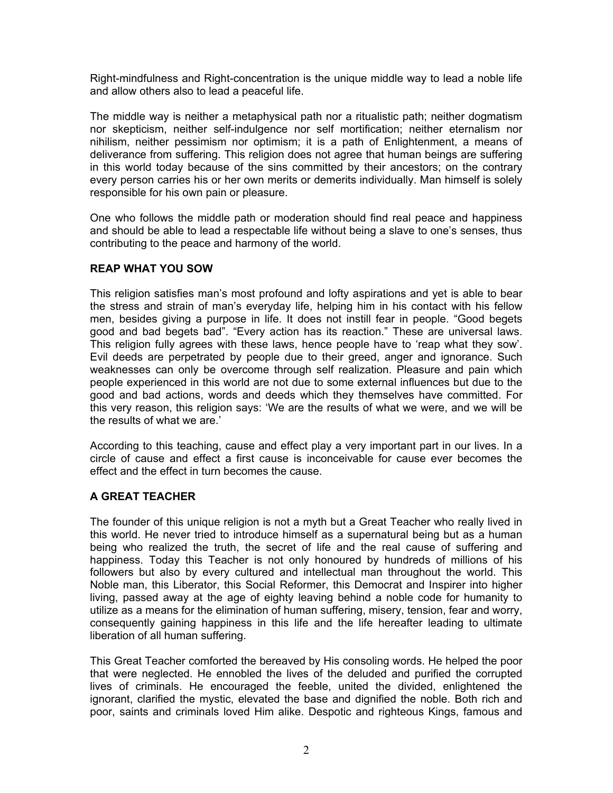Right-mindfulness and Right-concentration is the unique middle way to lead a noble life and allow others also to lead a peaceful life.

The middle way is neither a metaphysical path nor a ritualistic path; neither dogmatism nor skepticism, neither self-indulgence nor self mortification; neither eternalism nor nihilism, neither pessimism nor optimism; it is a path of Enlightenment, a means of deliverance from suffering. This religion does not agree that human beings are suffering in this world today because of the sins committed by their ancestors; on the contrary every person carries his or her own merits or demerits individually. Man himself is solely responsible for his own pain or pleasure.

One who follows the middle path or moderation should find real peace and happiness and should be able to lead a respectable life without being a slave to one's senses, thus contributing to the peace and harmony of the world.

### **REAP WHAT YOU SOW**

This religion satisfies man's most profound and lofty aspirations and yet is able to bear the stress and strain of man's everyday life, helping him in his contact with his fellow men, besides giving a purpose in life. It does not instill fear in people. "Good begets good and bad begets bad". "Every action has its reaction." These are universal laws. This religion fully agrees with these laws, hence people have to 'reap what they sow'. Evil deeds are perpetrated by people due to their greed, anger and ignorance. Such weaknesses can only be overcome through self realization. Pleasure and pain which people experienced in this world are not due to some external influences but due to the good and bad actions, words and deeds which they themselves have committed. For this very reason, this religion says: 'We are the results of what we were, and we will be the results of what we are.'

According to this teaching, cause and effect play a very important part in our lives. In a circle of cause and effect a first cause is inconceivable for cause ever becomes the effect and the effect in turn becomes the cause.

## **A GREAT TEACHER**

The founder of this unique religion is not a myth but a Great Teacher who really lived in this world. He never tried to introduce himself as a supernatural being but as a human being who realized the truth, the secret of life and the real cause of suffering and happiness. Today this Teacher is not only honoured by hundreds of millions of his followers but also by every cultured and intellectual man throughout the world. This Noble man, this Liberator, this Social Reformer, this Democrat and Inspirer into higher living, passed away at the age of eighty leaving behind a noble code for humanity to utilize as a means for the elimination of human suffering, misery, tension, fear and worry, consequently gaining happiness in this life and the life hereafter leading to ultimate liberation of all human suffering.

This Great Teacher comforted the bereaved by His consoling words. He helped the poor that were neglected. He ennobled the lives of the deluded and purified the corrupted lives of criminals. He encouraged the feeble, united the divided, enlightened the ignorant, clarified the mystic, elevated the base and dignified the noble. Both rich and poor, saints and criminals loved Him alike. Despotic and righteous Kings, famous and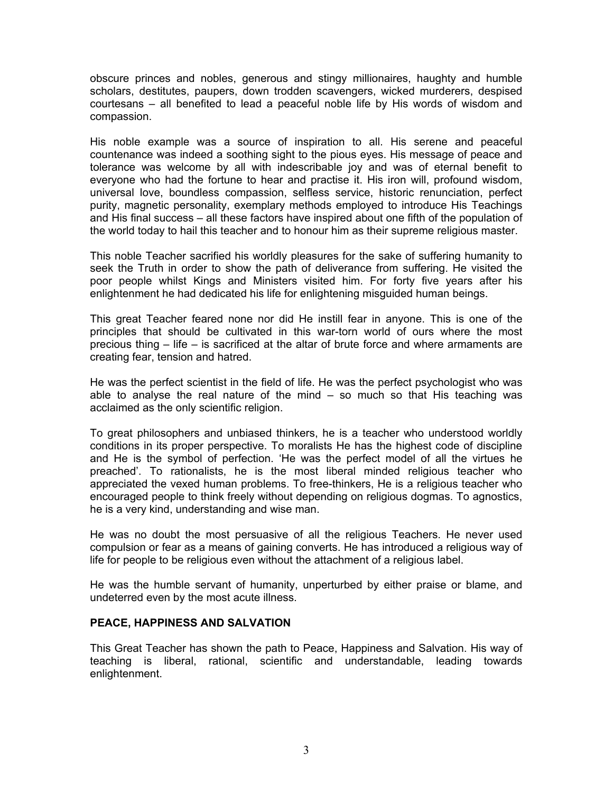obscure princes and nobles, generous and stingy millionaires, haughty and humble scholars, destitutes, paupers, down trodden scavengers, wicked murderers, despised courtesans – all benefited to lead a peaceful noble life by His words of wisdom and compassion.

His noble example was a source of inspiration to all. His serene and peaceful countenance was indeed a soothing sight to the pious eyes. His message of peace and tolerance was welcome by all with indescribable joy and was of eternal benefit to everyone who had the fortune to hear and practise it. His iron will, profound wisdom, universal love, boundless compassion, selfless service, historic renunciation, perfect purity, magnetic personality, exemplary methods employed to introduce His Teachings and His final success – all these factors have inspired about one fifth of the population of the world today to hail this teacher and to honour him as their supreme religious master.

This noble Teacher sacrified his worldly pleasures for the sake of suffering humanity to seek the Truth in order to show the path of deliverance from suffering. He visited the poor people whilst Kings and Ministers visited him. For forty five years after his enlightenment he had dedicated his life for enlightening misguided human beings.

This great Teacher feared none nor did He instill fear in anyone. This is one of the principles that should be cultivated in this war-torn world of ours where the most precious thing – life – is sacrificed at the altar of brute force and where armaments are creating fear, tension and hatred.

He was the perfect scientist in the field of life. He was the perfect psychologist who was able to analyse the real nature of the mind  $-$  so much so that His teaching was acclaimed as the only scientific religion.

To great philosophers and unbiased thinkers, he is a teacher who understood worldly conditions in its proper perspective. To moralists He has the highest code of discipline and He is the symbol of perfection. 'He was the perfect model of all the virtues he preached'. To rationalists, he is the most liberal minded religious teacher who appreciated the vexed human problems. To free-thinkers, He is a religious teacher who encouraged people to think freely without depending on religious dogmas. To agnostics, he is a very kind, understanding and wise man.

He was no doubt the most persuasive of all the religious Teachers. He never used compulsion or fear as a means of gaining converts. He has introduced a religious way of life for people to be religious even without the attachment of a religious label.

He was the humble servant of humanity, unperturbed by either praise or blame, and undeterred even by the most acute illness.

#### **PEACE, HAPPINESS AND SALVATION**

This Great Teacher has shown the path to Peace, Happiness and Salvation. His way of teaching is liberal, rational, scientific and understandable, leading towards enlightenment.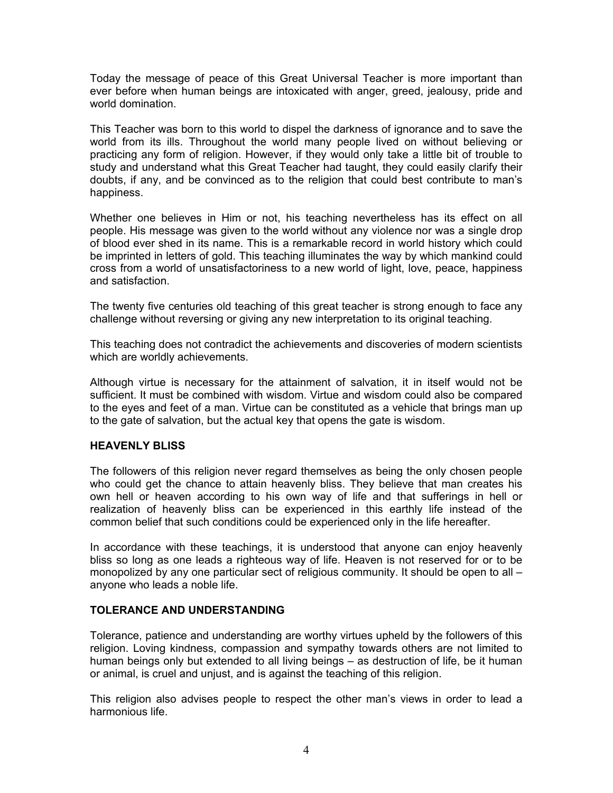Today the message of peace of this Great Universal Teacher is more important than ever before when human beings are intoxicated with anger, greed, jealousy, pride and world domination.

This Teacher was born to this world to dispel the darkness of ignorance and to save the world from its ills. Throughout the world many people lived on without believing or practicing any form of religion. However, if they would only take a little bit of trouble to study and understand what this Great Teacher had taught, they could easily clarify their doubts, if any, and be convinced as to the religion that could best contribute to man's happiness.

Whether one believes in Him or not, his teaching nevertheless has its effect on all people. His message was given to the world without any violence nor was a single drop of blood ever shed in its name. This is a remarkable record in world history which could be imprinted in letters of gold. This teaching illuminates the way by which mankind could cross from a world of unsatisfactoriness to a new world of light, love, peace, happiness and satisfaction.

The twenty five centuries old teaching of this great teacher is strong enough to face any challenge without reversing or giving any new interpretation to its original teaching.

This teaching does not contradict the achievements and discoveries of modern scientists which are worldly achievements.

Although virtue is necessary for the attainment of salvation, it in itself would not be sufficient. It must be combined with wisdom. Virtue and wisdom could also be compared to the eyes and feet of a man. Virtue can be constituted as a vehicle that brings man up to the gate of salvation, but the actual key that opens the gate is wisdom.

### **HEAVENLY BLISS**

The followers of this religion never regard themselves as being the only chosen people who could get the chance to attain heavenly bliss. They believe that man creates his own hell or heaven according to his own way of life and that sufferings in hell or realization of heavenly bliss can be experienced in this earthly life instead of the common belief that such conditions could be experienced only in the life hereafter.

In accordance with these teachings, it is understood that anyone can enjoy heavenly bliss so long as one leads a righteous way of life. Heaven is not reserved for or to be monopolized by any one particular sect of religious community. It should be open to all – anyone who leads a noble life.

### **TOLERANCE AND UNDERSTANDING**

Tolerance, patience and understanding are worthy virtues upheld by the followers of this religion. Loving kindness, compassion and sympathy towards others are not limited to human beings only but extended to all living beings – as destruction of life, be it human or animal, is cruel and unjust, and is against the teaching of this religion.

This religion also advises people to respect the other man's views in order to lead a harmonious life.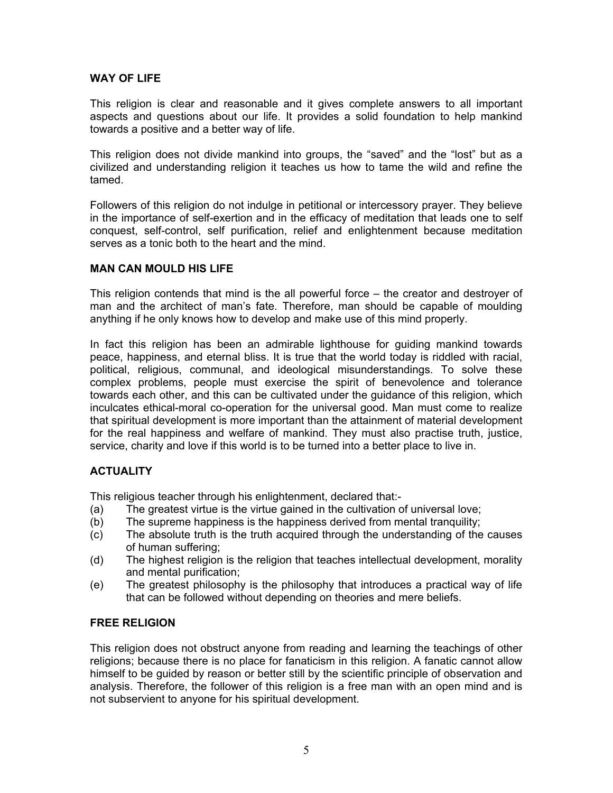### **WAY OF LIFE**

This religion is clear and reasonable and it gives complete answers to all important aspects and questions about our life. It provides a solid foundation to help mankind towards a positive and a better way of life.

This religion does not divide mankind into groups, the "saved" and the "lost" but as a civilized and understanding religion it teaches us how to tame the wild and refine the tamed.

Followers of this religion do not indulge in petitional or intercessory prayer. They believe in the importance of self-exertion and in the efficacy of meditation that leads one to self conquest, self-control, self purification, relief and enlightenment because meditation serves as a tonic both to the heart and the mind.

### **MAN CAN MOULD HIS LIFE**

This religion contends that mind is the all powerful force – the creator and destroyer of man and the architect of man's fate. Therefore, man should be capable of moulding anything if he only knows how to develop and make use of this mind properly.

In fact this religion has been an admirable lighthouse for guiding mankind towards peace, happiness, and eternal bliss. It is true that the world today is riddled with racial, political, religious, communal, and ideological misunderstandings. To solve these complex problems, people must exercise the spirit of benevolence and tolerance towards each other, and this can be cultivated under the guidance of this religion, which inculcates ethical-moral co-operation for the universal good. Man must come to realize that spiritual development is more important than the attainment of material development for the real happiness and welfare of mankind. They must also practise truth, justice, service, charity and love if this world is to be turned into a better place to live in.

### **ACTUALITY**

This religious teacher through his enlightenment, declared that:-

- (a) The greatest virtue is the virtue gained in the cultivation of universal love;
- (b) The supreme happiness is the happiness derived from mental tranquility;
- (c) The absolute truth is the truth acquired through the understanding of the causes of human suffering;
- (d) The highest religion is the religion that teaches intellectual development, morality and mental purification;
- (e) The greatest philosophy is the philosophy that introduces a practical way of life that can be followed without depending on theories and mere beliefs.

### **FREE RELIGION**

This religion does not obstruct anyone from reading and learning the teachings of other religions; because there is no place for fanaticism in this religion. A fanatic cannot allow himself to be guided by reason or better still by the scientific principle of observation and analysis. Therefore, the follower of this religion is a free man with an open mind and is not subservient to anyone for his spiritual development.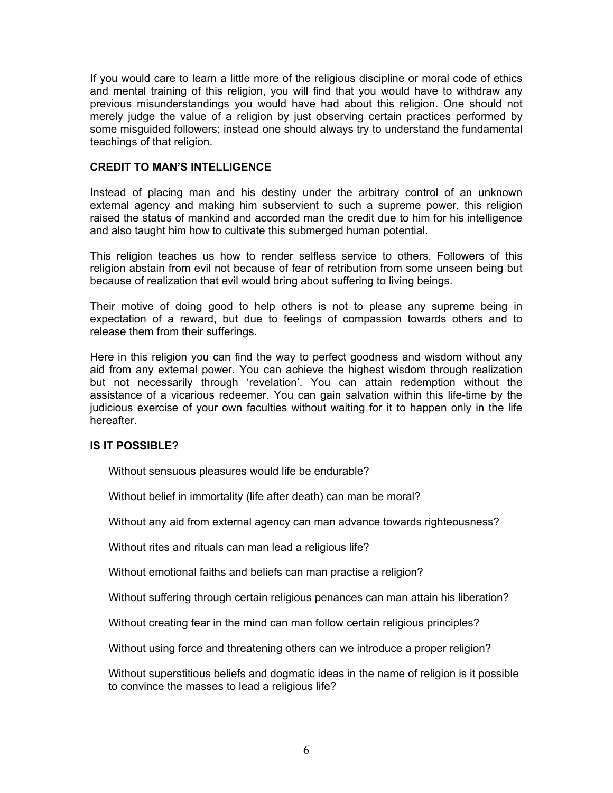If you would care to learn a little more of the religious discipline or moral code of ethics and mental training of this religion, you will find that you would have to withdraw any previous misunderstandings you would have had about this religion. One should not merely judge the value of a religion by just observing certain practices performed by some misguided followers; instead one should always try to understand the fundamental teachings of that religion.

#### **CREDIT TO MAN'S INTELLIGENCE**

Instead of placing man and his destiny under the arbitrary control of an unknown external agency and making him subservient to such a supreme power, this religion raised the status of mankind and accorded man the credit due to him for his intelligence and also taught him how to cultivate this submerged human potential.

This religion teaches us how to render selfless service to others. Followers of this religion abstain from evil not because of fear of retribution from some unseen being but because of realization that evil would bring about suffering to living beings.

Their motive of doing good to help others is not to please any supreme being in expectation of a reward, but due to feelings of compassion towards others and to release them from their sufferings.

Here in this religion you can find the way to perfect goodness and wisdom without any aid from any external power. You can achieve the highest wisdom through realization but not necessarily through 'revelation'. You can attain redemption without the assistance of a vicarious redeemer. You can gain salvation within this life-time by the judicious exercise of your own faculties without waiting for it to happen only in the life hereafter.

### **IS IT POSSIBLE?**

Without sensuous pleasures would life be endurable?

Without belief in immortality (life after death) can man be moral?

Without any aid from external agency can man advance towards righteousness?

Without rites and rituals can man lead a religious life?

Without emotional faiths and beliefs can man practise a religion?

Without suffering through certain religious penances can man attain his liberation?

Without creating fear in the mind can man follow certain religious principles?

Without using force and threatening others can we introduce a proper religion?

 Without superstitious beliefs and dogmatic ideas in the name of religion is it possible to convince the masses to lead a religious life?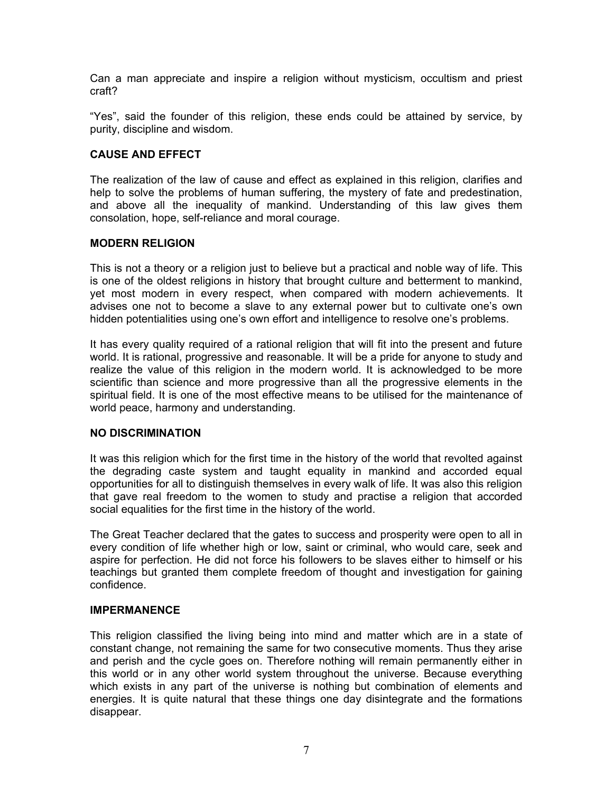Can a man appreciate and inspire a religion without mysticism, occultism and priest craft?

"Yes", said the founder of this religion, these ends could be attained by service, by purity, discipline and wisdom.

#### **CAUSE AND EFFECT**

The realization of the law of cause and effect as explained in this religion, clarifies and help to solve the problems of human suffering, the mystery of fate and predestination, and above all the inequality of mankind. Understanding of this law gives them consolation, hope, self-reliance and moral courage.

#### **MODERN RELIGION**

This is not a theory or a religion just to believe but a practical and noble way of life. This is one of the oldest religions in history that brought culture and betterment to mankind, yet most modern in every respect, when compared with modern achievements. It advises one not to become a slave to any external power but to cultivate one's own hidden potentialities using one's own effort and intelligence to resolve one's problems.

It has every quality required of a rational religion that will fit into the present and future world. It is rational, progressive and reasonable. It will be a pride for anyone to study and realize the value of this religion in the modern world. It is acknowledged to be more scientific than science and more progressive than all the progressive elements in the spiritual field. It is one of the most effective means to be utilised for the maintenance of world peace, harmony and understanding.

#### **NO DISCRIMINATION**

It was this religion which for the first time in the history of the world that revolted against the degrading caste system and taught equality in mankind and accorded equal opportunities for all to distinguish themselves in every walk of life. It was also this religion that gave real freedom to the women to study and practise a religion that accorded social equalities for the first time in the history of the world.

The Great Teacher declared that the gates to success and prosperity were open to all in every condition of life whether high or low, saint or criminal, who would care, seek and aspire for perfection. He did not force his followers to be slaves either to himself or his teachings but granted them complete freedom of thought and investigation for gaining confidence.

#### **IMPERMANENCE**

This religion classified the living being into mind and matter which are in a state of constant change, not remaining the same for two consecutive moments. Thus they arise and perish and the cycle goes on. Therefore nothing will remain permanently either in this world or in any other world system throughout the universe. Because everything which exists in any part of the universe is nothing but combination of elements and energies. It is quite natural that these things one day disintegrate and the formations disappear.